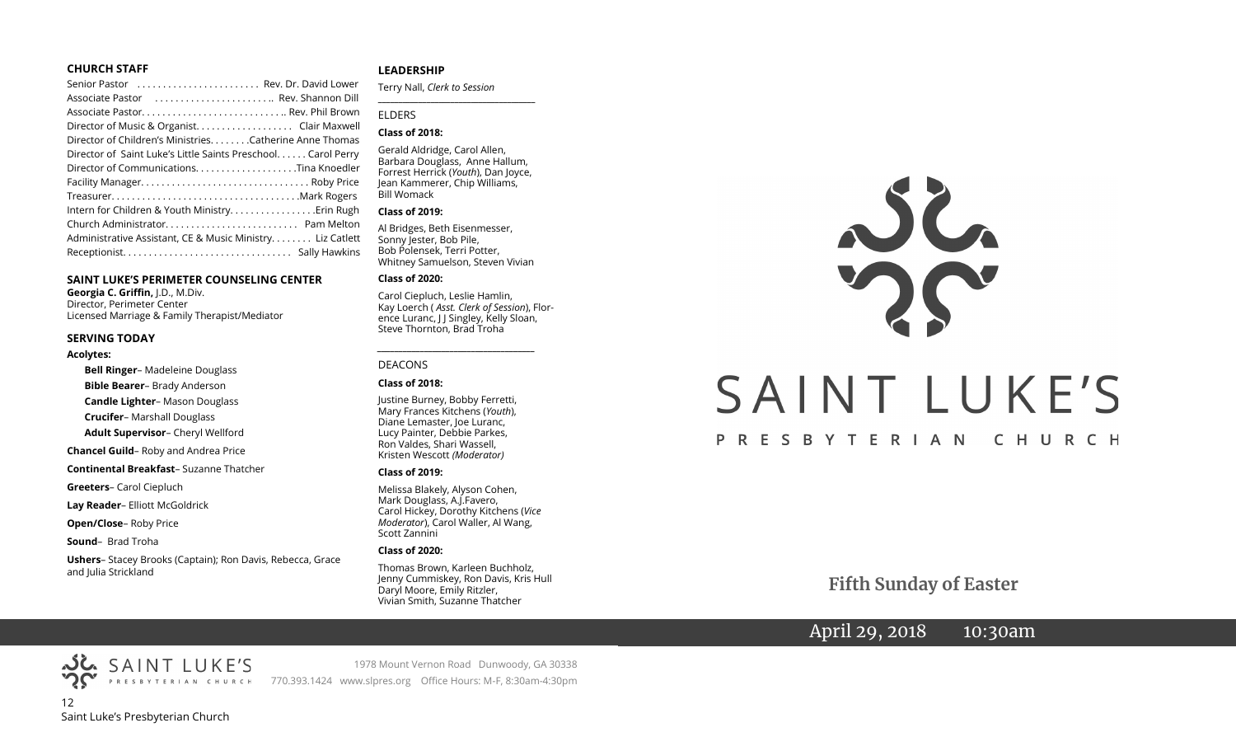#### **CHURCH STAFF**

#### **SAINT LUKE'S PERIMETER COUNSELING CENTER**

**Georgia C. Griffin,** J.D., M.Div. Director, Perimeter Center Licensed Marriage & Family Therapist/Mediator

#### **SERVING TODAY**

#### **Acolytes:**

**Bell Ringer**– Madeleine Douglass **Bible Bearer**– Brady Anderson **Candle Lighter**– Mason Douglass **Crucifer**– Marshall Douglass **Adult Supervisor**– Cheryl Wellford **Chancel Guild**– Roby and Andrea Price **Continental Breakfast**– Suzanne Thatcher **Greeters**– Carol Ciepluch **Lay Reader**– Elliott McGoldrick **Open/Close**– Roby Price **Sound**– Brad Troha

**Ushers**– Stacey Brooks (Captain); Ron Davis, Rebecca, Grace and Julia Strickland

#### **LEADERSHIP**

Terry Nall, *Clerk to Session* 

**\_\_\_\_\_\_\_\_\_\_\_\_\_\_\_\_\_\_\_\_\_\_\_\_\_\_\_\_\_\_\_\_\_\_\_\_\_\_\_**

#### ELDERS

#### **Class of 2018:**

Gerald Aldridge, Carol Allen, Barbara Douglass, Anne Hallum, Forrest Herrick (*Youth*), Dan Joyce, Jean Kammerer, Chip Williams, Bill Womack

#### **Class of 2019:**

Al Bridges, Beth Eisenmesser, Sonny Jester, Bob Pile, Bob Polensek, Terri Potter, Whitney Samuelson, Steven Vivian

#### **Class of 2020:**

Carol Ciepluch, Leslie Hamlin, Kay Loerch ( *Asst. Clerk of Session*), Florence Luranc, J J Singley, Kelly Sloan, Steve Thornton, Brad Troha

*\_\_\_\_\_\_\_\_\_\_\_\_\_\_\_\_\_\_\_\_\_\_\_\_\_\_\_\_\_\_\_\_\_\_\_\_\_*

#### DEACONS

#### **Class of 2018:**

Justine Burney, Bobby Ferretti, Mary Frances Kitchens (*Youth*), Diane Lemaster, Joe Luranc, Lucy Painter, Debbie Parkes, Ron Valdes, Shari Wassell, Kristen Wescott *(Moderator)*

#### **Class of 2019:**

Melissa Blakely, Alyson Cohen, Mark Douglass, A.J.Favero, Carol Hickey, Dorothy Kitchens (*Vice Moderator*), Carol Waller, Al Wang, Scott Zannini

#### **Class of 2020:**

Thomas Brown, Karleen Buchholz, Jenny Cummiskey, Ron Davis, Kris Hull Daryl Moore, Emily Ritzler, Vivian Smith, Suzanne Thatcher



 **Fifth Sunday of Easter**

April 29, 2018 10:30am



1978 Mount Vernon Road Dunwoody, GA 30338 PRESBYTERIAN CHURCH 770.393.1424 www.slpres.org Office Hours: M-F, 8:30am-4:30pm

12 Saint Luke's Presbyterian Church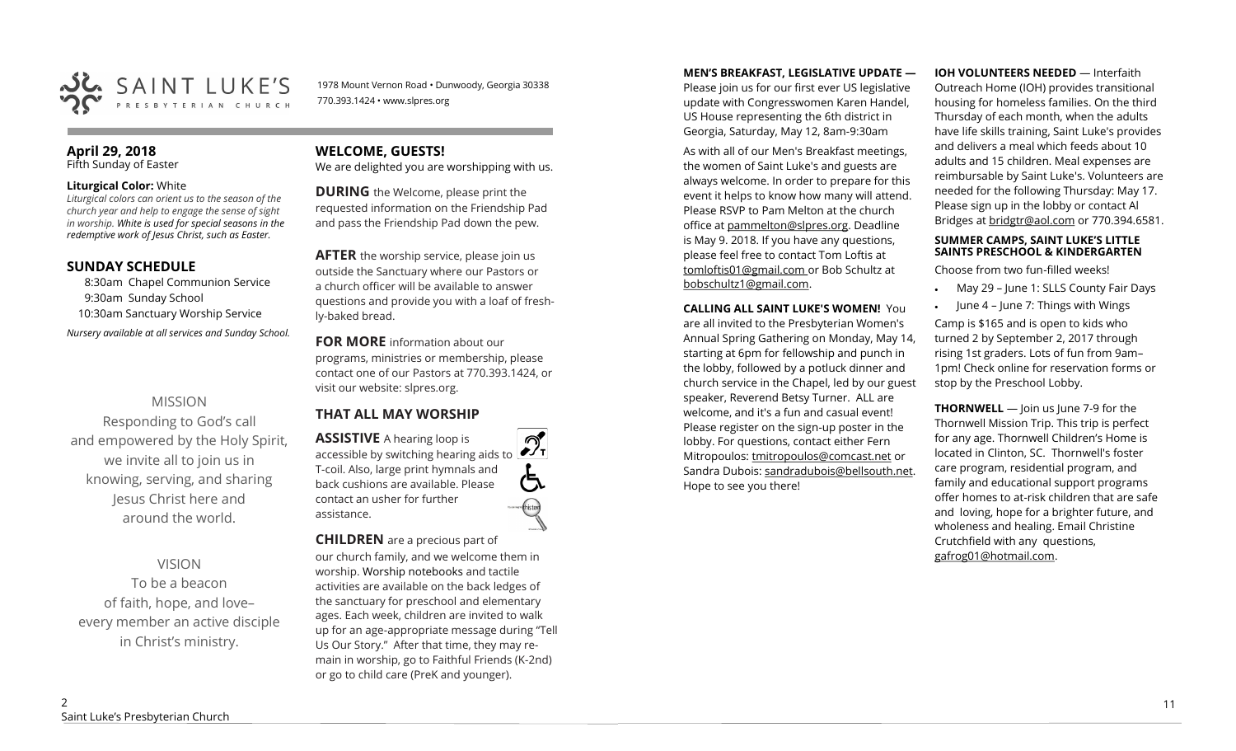

1978 Mount Vernon Road • Dunwoody, Georgia 30338 770.393.1424 • www.slpres.org

#### **April 29, 2018**  Fifth Sunday of Easter

#### **Liturgical Color:** White

*Liturgical colors can orient us to the season of the church year and help to engage the sense of sight in worship. White is used for special seasons in the redemptive work of Jesus Christ, such as Easter.* 

### **SUNDAY SCHEDULE**

8:30am Chapel Communion Service 9:30am Sunday School 10:30am Sanctuary Worship Service *Nursery available at all services and Sunday School.* 

### MISSION

Responding to God's call and empowered by the Holy Spirit, we invite all to join us in knowing, serving, and sharing Jesus Christ here and around the world.

#### VISION

To be a beacon of faith, hope, and love– every member an active disciple in Christ's ministry.

## **WELCOME, GUESTS!**

We are delighted you are worshipping with us.

**DURING** the Welcome, please print the requested information on the Friendship Pad and pass the Friendship Pad down the pew.

**AFTER** the worship service, please join us outside the Sanctuary where our Pastors or a church officer will be available to answer questions and provide you with a loaf of freshly-baked bread.

**FOR MORE** information about our programs, ministries or membership, please contact one of our Pastors at 770.393.1424, or visit our website: slpres.org.

## **THAT ALL MAY WORSHIP**

**ASSISTIVE** A hearing loop is  $\mathcal{D}_{\mathrm{r}}$ accessible by switching hearing aids to T-coil. Also, large print hymnals and ල් back cushions are available. Please contact an usher for further assistance.

### **CHILDREN** are a precious part of

our church family, and we welcome them in worship. Worship notebooks and tactile activities are available on the back ledges of the sanctuary for preschool and elementary ages. Each week, children are invited to walk up for an age-appropriate message during "Tell Us Our Story." After that time, they may remain in worship, go to Faithful Friends (K-2nd) or go to child care (PreK and younger).

#### **MEN'S BREAKFAST, LEGISLATIVE UPDATE —**

Please join us for our first ever US legislative update with Congresswomen Karen Handel, US House representing the 6th district in Georgia, Saturday, May 12, 8am-9:30am

As with all of our Men's Breakfast meetings, the women of Saint Luke's and guests are always welcome. In order to prepare for this event it helps to know how many will attend. Please RSVP to Pam Melton at the church office at [pammelton@slpres.org.](mailto:pammelton@slpres.org) Deadline is May 9. 2018. If you have any questions, please feel free to contact Tom Loftis at [tomloftis01@gmail.com o](mailto:tomloftis01@gmail.com)r Bob Schultz at [bobschultz1@gmail.com.](mailto:bobschultz1@gmail.com)

**CALLING ALL SAINT LUKE'S WOMEN!** You are all invited to the Presbyterian Women's Annual Spring Gathering on Monday, May 14, starting at 6pm for fellowship and punch in the lobby, followed by a potluck dinner and church service in the Chapel, led by our guest speaker, Reverend Betsy Turner. ALL are welcome, and it's a fun and casual event! Please register on the sign-up poster in the lobby. For questions, contact either Fern Mitropoulos: [tmitropoulos@comcast.net](mailto:tmitropoulos@comcast.net) or Sandra Dubois: sandradubois@bellsouth.net. Hope to see you there!

**IOH VOLUNTEERS NEEDED** — Interfaith Outreach Home (IOH) provides transitional housing for homeless families. On the third Thursday of each month, when the adults have life skills training, Saint Luke's provides and delivers a meal which feeds about 10 adults and 15 children. Meal expenses are reimbursable by Saint Luke's. Volunteers are needed for the following Thursday: May 17. Please sign up in the lobby or contact Al Bridges at [bridgtr@aol.com](mailto:bridgtr@aol.com) or 770.394.6581.

#### **SUMMER CAMPS, SAINT LUKE'S LITTLE SAINTS PRESCHOOL & KINDERGARTEN**

Choose from two fun-filled weeks!

- May 29 June 1: SLLS County Fair Days
- June  $4$  June 7: Things with Wings

Camp is \$165 and is open to kids who turned 2 by September 2, 2017 through rising 1st graders. Lots of fun from 9am– 1pm! Check online for reservation forms or stop by the Preschool Lobby.

**THORNWELL** — Join us June 7-9 for the Thornwell Mission Trip. This trip is perfect for any age. Thornwell Children's Home is located in Clinton, SC. Thornwell's foster care program, residential program, and family and educational support programs offer homes to at-risk children that are safe and loving, hope for a brighter future, and wholeness and healing. Email Christine Crutchfield with any questions, gafrog01@hotmail.com.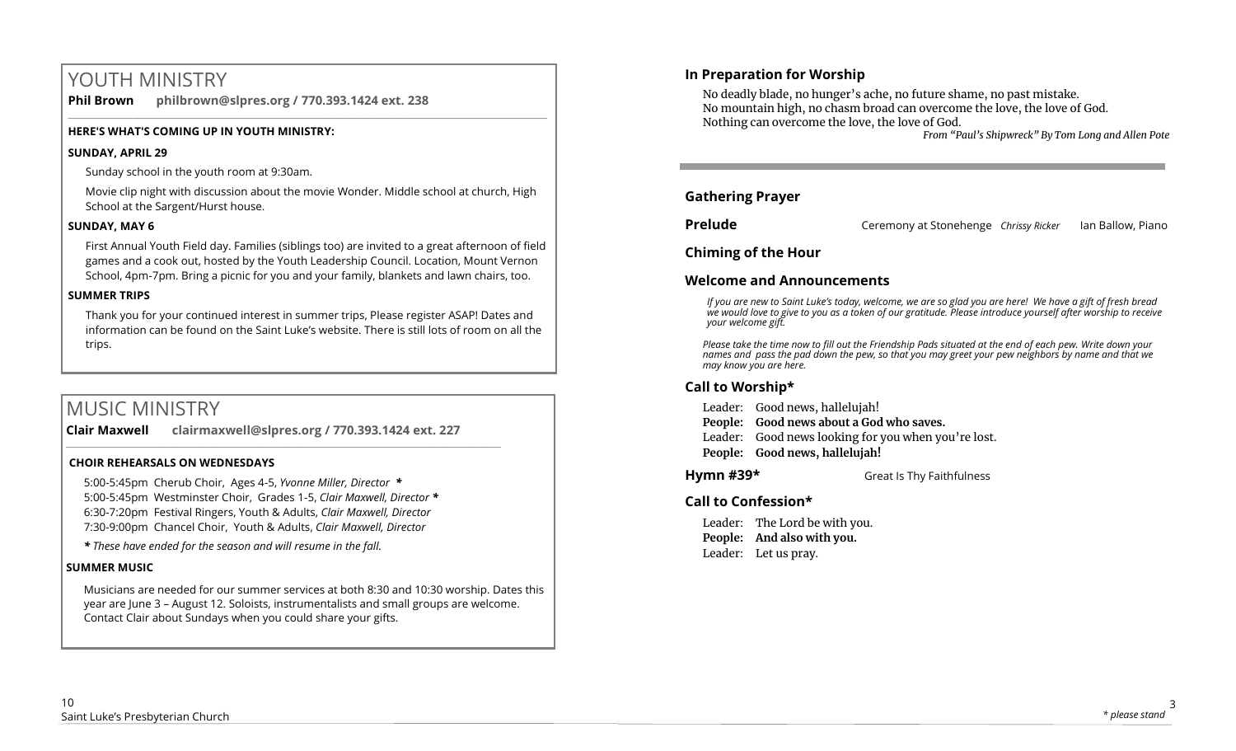# YOUTH MINISTRY

**Phil Brown philbrown@slpres.org / 770.393.1424 ext. 238** 

## **HERE'S WHAT'S COMING UP IN YOUTH MINISTRY:**

## **SUNDAY, APRIL 29**

Sunday school in the youth room at 9:30am.

Movie clip night with discussion about the movie Wonder. Middle school at church, High School at the Sargent/Hurst house.

 $\_$  ,  $\_$  ,  $\_$  ,  $\_$  ,  $\_$  ,  $\_$  ,  $\_$  ,  $\_$  ,  $\_$  ,  $\_$  ,  $\_$  ,  $\_$  ,  $\_$  ,  $\_$  ,  $\_$  ,  $\_$  ,  $\_$  ,  $\_$  ,  $\_$  ,  $\_$  ,  $\_$  ,  $\_$  ,  $\_$  ,  $\_$  ,  $\_$  ,  $\_$  ,  $\_$  ,  $\_$  ,  $\_$  ,  $\_$  ,  $\_$  ,  $\_$  ,  $\_$  ,  $\_$  ,  $\_$  ,  $\_$  ,  $\_$  ,

## **SUNDAY, MAY 6**

First Annual Youth Field day. Families (siblings too) are invited to a great afternoon of field games and a cook out, hosted by the Youth Leadership Council. Location, Mount Vernon School, 4pm-7pm. Bring a picnic for you and your family, blankets and lawn chairs, too.

## **SUMMER TRIPS**

Thank you for your continued interest in summer trips, Please register ASAP! Dates and information can be found on the Saint Luke's website. There is still lots of room on all the trips.

# MUSIC MINISTRY

**Clair Maxwell clairmaxwell@slpres.org / 770.393.1424 ext. 227**  \_\_\_\_\_\_\_\_\_\_\_\_\_\_\_\_\_\_\_\_\_\_\_\_\_\_\_\_\_\_\_\_\_\_\_\_\_\_\_\_\_\_\_\_\_\_\_\_\_\_\_\_\_\_\_\_\_\_\_\_\_\_\_\_\_\_\_\_\_\_\_\_\_\_\_\_\_\_\_\_\_\_\_\_\_\_\_\_

### **CHOIR REHEARSALS ON WEDNESDAYS**

5:00-5:45pm Cherub Choir, Ages 4-5, *Yvonne Miller, Director \** 5:00-5:45pm Westminster Choir, Grades 1-5, *Clair Maxwell, Director \**  6:30-7:20pm Festival Ringers, Youth & Adults, *Clair Maxwell, Director*  7:30-9:00pm Chancel Choir, Youth & Adults, *Clair Maxwell, Director* 

*\* These have ended for the season and will resume in the fall.*

## **SUMMER MUSIC**

Musicians are needed for our summer services at both 8:30 and 10:30 worship. Dates this year are June 3 – August 12. Soloists, instrumentalists and small groups are welcome. Contact Clair about Sundays when you could share your gifts.

## **In Preparation for Worship**

No deadly blade, no hunger's ache, no future shame, no past mistake. No mountain high, no chasm broad can overcome the love, the love of God. Nothing can overcome the love, the love of God.

 *From "Paul's Shipwreck" By Tom Long and Allen Pote*

## **Gathering Prayer**

**Prelude Ceremony at Stonehenge** *Chrissy Ricker* **Ian Ballow, Piano** 

## **Chiming of the Hour**

## **Welcome and Announcements**

*If you are new to Saint Luke's today, welcome, we are so glad you are here! We have a gift of fresh bread we would love to give to you as a token of our gratitude. Please introduce yourself after worship to receive your welcome gift.*

*Please take the time now to fill out the Friendship Pads situated at the end of each pew. Write down your names and pass the pad down the pew, so that you may greet your pew neighbors by name and that we may know you are here.*

## **Call to Worship\***

Leader: Good news, hallelujah!

- **People: Good news about a God who saves.**
- Leader: Good news looking for you when you're lost.
- **People: Good news, hallelujah!**

**Hymn #39\*** Great Is Thy Faithfulness

## **Call to Confession\***

Leader: The Lord be with you. **People: And also with you.** Leader: Let us pray.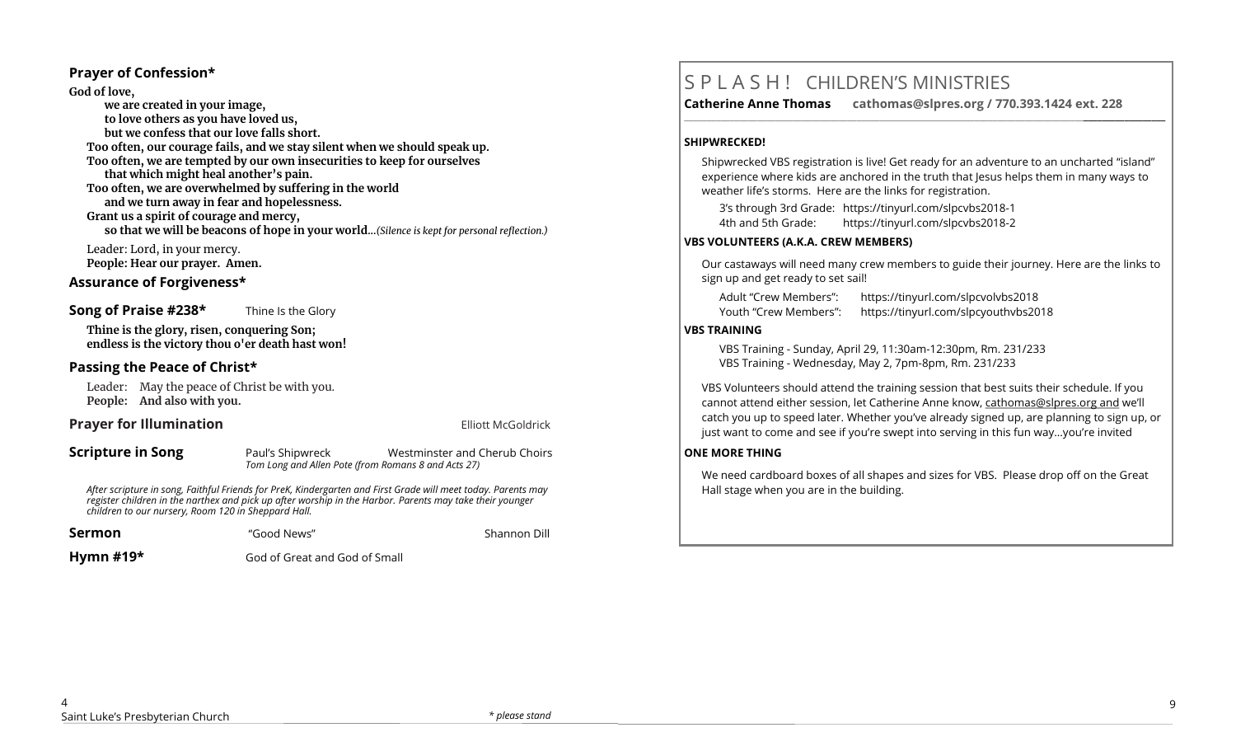#### **Prayer of Confession\***

**God of love, we are created in your image, to love others as you have loved us, but we confess that our love falls short. Too often, our courage fails, and we stay silent when we should speak up. Too often, we are tempted by our own insecurities to keep for ourselves that which might heal another's pain. Too often, we are overwhelmed by suffering in the world and we turn away in fear and hopelessness. Grant us a spirit of courage and mercy, so that we will be beacons of hope in your world...***(Silence is kept for personal reflection.)*

Leader: Lord, in your mercy. **People: Hear our prayer. Amen.**

#### **Assurance of Forgiveness\***

**Song of Praise #238\*** Thine Is the Glory

**Thine is the glory, risen, conquering Son; endless is the victory thou o'er death hast won!**

## **Passing the Peace of Christ\***

Leader: May the peace of Christ be with you. **People: And also with you.** 

### **Prayer for Illumination Example 20 and Separate Illiott McGoldrick Elliott McGoldrick**

**Scripture in Song** Paul's Shipwreck Westminster and Cherub Choirs *Tom Long and Allen Pote (from Romans 8 and Acts 27)*

*After scripture in song, Faithful Friends for PreK, Kindergarten and First Grade will meet today. Parents may register children in the narthex and pick up after worship in the Harbor. Parents may take their younger children to our nursery, Room 120 in Sheppard Hall.* 

**Sermon Cool News** "Good News" **Shannon Dill** 

**Hymn #19\*** God of Great and God of Small

# S P L A S H ! CHILDREN'S MINISTRIES

**Catherine Anne Thomas cathomas@slpres.org / 770.393.1424 ext. 228** 

#### **SHIPWRECKED!**

Shipwrecked VBS registration is live! Get ready for an adventure to an uncharted "island" experience where kids are anchored in the truth that Jesus helps them in many ways to weather life's storms. Here are the links for registration.

**\_\_\_\_\_\_\_\_\_\_\_\_\_\_\_\_\_\_\_\_\_\_\_\_\_\_\_\_\_\_\_\_\_\_\_\_\_\_\_\_\_\_\_\_\_\_\_\_\_\_\_\_\_\_\_\_\_\_\_\_\_\_\_\_\_\_\_\_\_\_\_\_\_\_\_\_\_\_\_\_\_\_\_\_\_\_\_\_\_\_\_\_\_\_\_\_\_\_\_\_\_\_\_\_\_\_** 

3's through 3rd Grade: https://tinyurl.com/slpcvbs2018-1 4th and 5th Grade: https://tinyurl.com/slpcvbs2018-2

#### **VBS VOLUNTEERS (A.K.A. CREW MEMBERS)**

Our castaways will need many crew members to guide their journey. Here are the links to sign up and get ready to set sail!

Adult "Crew Members": https://tinyurl.com/slpcvolvbs2018 Youth "Crew Members": https://tinyurl.com/slpcyouthvbs2018

#### **VBS TRAINING**

VBS Training - Sunday, April 29, 11:30am-12:30pm, Rm. 231/233 VBS Training - Wednesday, May 2, 7pm-8pm, Rm. 231/233

VBS Volunteers should attend the training session that best suits their schedule. If you cannot attend either session, let Catherine Anne know, [cathomas@slpres.org](mailto:cathomas@slpres.organd) and we'll catch you up to speed later. Whether you've already signed up, are planning to sign up, or just want to come and see if you're swept into serving in this fun way...you're invited

#### **ONE MORE THING**

We need cardboard boxes of all shapes and sizes for VBS. Please drop off on the Great Hall stage when you are in the building.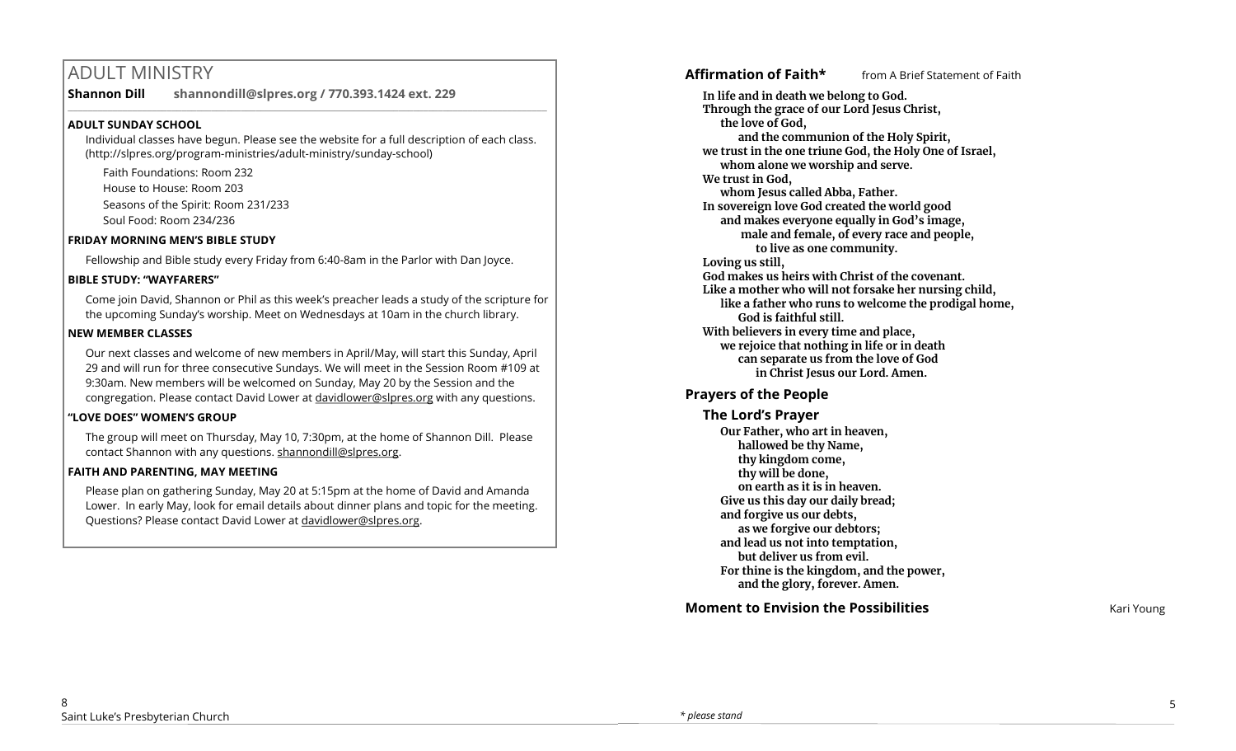# ADULT MINISTRY

**Shannon Dill shannondill@slpres.org / 770.393.1424 ext. 229**   $\_$  ,  $\_$  ,  $\_$  ,  $\_$  ,  $\_$  ,  $\_$  ,  $\_$  ,  $\_$  ,  $\_$  ,  $\_$  ,  $\_$  ,  $\_$  ,  $\_$  ,  $\_$  ,  $\_$  ,  $\_$  ,  $\_$  ,  $\_$  ,  $\_$  ,  $\_$ 

## **ADULT SUNDAY SCHOOL**

Individual classes have begun. Please see the website for a full description of each class. (http://slpres.org/program-ministries/adult-ministry/sunday-school)

Faith Foundations: Room 232 House to House: Room 203 Seasons of the Spirit: Room 231/233 Soul Food: Room 234/236

### **FRIDAY MORNING MEN'S BIBLE STUDY**

Fellowship and Bible study every Friday from 6:40-8am in the Parlor with Dan Joyce.

## **BIBLE STUDY: "WAYFARERS"**

Come join David, Shannon or Phil as this week's preacher leads a study of the scripture for the upcoming Sunday's worship. Meet on Wednesdays at 10am in the church library.

## **NEW MEMBER CLASSES**

Our next classes and welcome of new members in April/May, will start this Sunday, April 29 and will run for three consecutive Sundays. We will meet in the Session Room #109 at 9:30am. New members will be welcomed on Sunday, May 20 by the Session and the congregation. Please contact David Lower at davidlower@slpres.org with any questions.

## **"LOVE DOES" WOMEN'S GROUP**

The group will meet on Thursday, May 10, 7:30pm, at the home of Shannon Dill. Please contact Shannon with any questions. shannondill@slpres.org.

## **FAITH AND PARENTING, MAY MEETING**

Please plan on gathering Sunday, May 20 at 5:15pm at the home of David and Amanda Lower. In early May, look for email details about dinner plans and topic for the meeting. Questions? Please contact David Lower at davidlower@slpres.org.

**Affirmation of Faith\*** from A Brief Statement of Faith

**In life and in death we belong to God. Through the grace of our Lord Jesus Christ, the love of God, and the communion of the Holy Spirit, we trust in the one triune God, the Holy One of Israel, whom alone we worship and serve. We trust in God, whom Jesus called Abba, Father. In sovereign love God created the world good and makes everyone equally in God's image, male and female, of every race and people, to live as one community. Loving us still, God makes us heirs with Christ of the covenant. Like a mother who will not forsake her nursing child, like a father who runs to welcome the prodigal home, God is faithful still. With believers in every time and place, we rejoice that nothing in life or in death can separate us from the love of God in Christ Jesus our Lord. Amen.**

## **Prayers of the People**

**The Lord's Prayer Our Father, who art in heaven, hallowed be thy Name, thy kingdom come, thy will be done, on earth as it is in heaven. Give us this day our daily bread; and forgive us our debts, as we forgive our debtors; and lead us not into temptation, but deliver us from evil. For thine is the kingdom, and the power, and the glory, forever. Amen.** 

**Moment to Envision the Possibilities** Kari Young